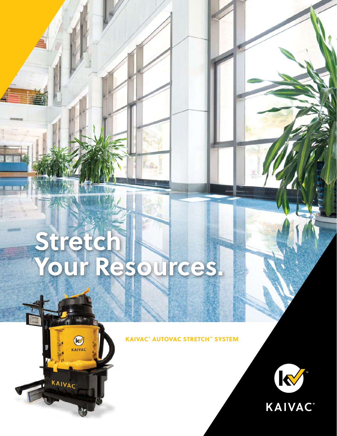# **Stretch Your Resources.**

 $R$ 

KAIVAC

F.e.

KAIVAC® AUTOVAC STRETCH™ SYSTEM

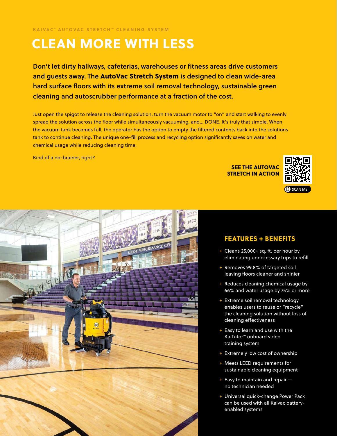# CLEAN MORE WITH LESS

Don't let dirty hallways, cafeterias, warehouses or fitness areas drive customers and guests away. The AutoVac Stretch System is designed to clean wide-area hard surface floors with its extreme soil removal technology, sustainable green cleaning and autoscrubber performance at a fraction of the cost.

Just open the spigot to release the cleaning solution, turn the vacuum motor to "on" and start walking to evenly spread the solution across the floor while simultaneously vacuuming, and… DONE. It's truly that simple. When the vacuum tank becomes full, the operator has the option to empty the filtered contents back into the solutions tank to continue cleaning. The unique one-fill process and recycling option significantly saves on water and chemical usage while reducing cleaning time.

Kind of a no-brainer, right?

SEE THE AUTOVAC STRETCH IN ACTION





#### FEATURES + BENEFITS

- + Cleans 25,000+ sq. ft. per hour by eliminating unnecessary trips to refill
- + Removes 99.8% of targeted soil leaving floors cleaner and shinier
- + Reduces cleaning chemical usage by 66% and water usage by 75% or more
- + Extreme soil removal technology enables users to reuse or "recycle" the cleaning solution without loss of cleaning effectiveness
- + Easy to learn and use with the KaiTutor™ onboard video training system
- + Extremely low cost of ownership
- + Meets LEED requirements for sustainable cleaning equipment
- + Easy to maintain and repair no technician needed
- + Universal quick-change Power Pack can be used with all Kaivac batteryenabled systems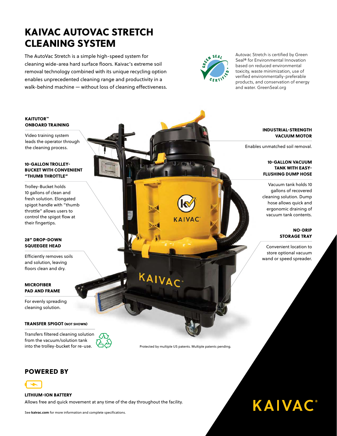## KAIVAC AUTOVAC STRETCH CLEANING SYSTEM

The AutoVac Stretch is a simple high-speed system for cleaning wide-area hard surface floors. Kaivac's extreme soil removal technology combined with its unique recycling option enables unprecedented cleaning range and productivity in a walk-behind machine — without loss of cleaning effectiveness.



Autovac Stretch is certified by Green Seal® for Environmental Innovation based on reduced environmental toxicity, waste minimization, use of verified environmentally-preferable products, and conservation of energy and water. GreenSeal.org

#### KAITUTOR™ ONBOARD TRAINING

Video training system leads the operator through the cleaning process.

#### 10-GALLON TROLLEY-BUCKET WITH CONVENIENT "THUMB THROTTLE"

Trolley-Bucket holds 10 gallons of clean and fresh solution. Elongated spigot handle with "thumb throttle" allows users to control the spigot flow at their fingertips.

#### 28" DROP-DOWN SQUEEGEE HEAD

Efficiently removes soils and solution, leaving floors clean and dry.

#### **MICROFIBER** PAD AND FRAME

For evenly spreading cleaning solution.

#### TRANSFER SPIGOT (NOT SHOWN)

Transfers filtered cleaning solution from the vacuum/solution tank into the trolley-bucket for re-use.



#### INDUSTRIAL-STRENGTH VACUUM MOTOR

Enables unmatched soil removal.

#### 10-GALLON VACUUM TANK WITH EASY-FLUSHING DUMP HOSE

Vacuum tank holds 10 gallons of recovered cleaning solution. Dump hose allows quick and ergonomic draining of vacuum tank contents.

> NO-DRIP STORAGE TRAY

Convenient location to store optional vacuum wand or speed spreader.

**KAIVAC®** 

Protected by multiple US patents. Multiple patents pending.

KAIVAC

KAIVAC

#### POWERED BY



#### LITHIUM-ION BATTERY

Allows free and quick movement at any time of the day throughout the facility.

See **kaivac.com** for more information and complete specifications.